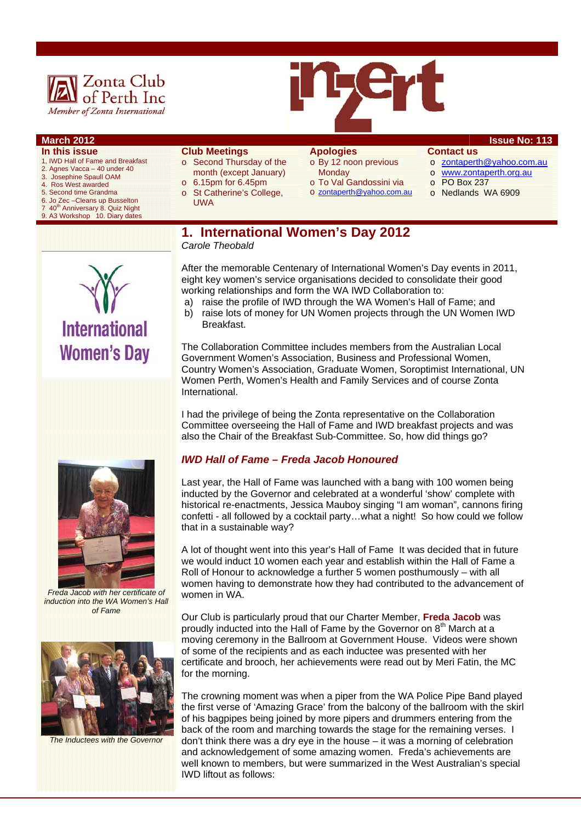

#### **March 2012 ISSUE No: 113**

- **In this issue**  1, IWD Hall of Fame and Breakfast
- 2. Agnes Vacca 40 under 40
- 3. Josephine Spaull OAM
- 4. Ros West awarded
- 5. Second time Grandma
- 6. Jo Zec –Cleans up Busselton
- 7 40<sup>th</sup> Anniversary 8. Quiz Night 9. A3 Workshop 10. Diary dates
- month (except January)  $\circ$  6.15pm for 6.45pm o St Catherine's College, UWA

o Second Thursday of the

**Club Meetings** 

**Apologies**  o By 12 noon previous **Monday** 

o To Val Gandossini via o zontaperth@yahoo.com.au

## **Contact us**

- o zontaperth@yahoo.com.au
- o www.zontaperth.org.au
- o PO Box 237
- o Nedlands WA 6909
- **1. International Women's Day 2012**  *Carole Theobald*

After the memorable Centenary of International Women's Day events in 2011, eight key women's service organisations decided to consolidate their good working relationships and form the WA IWD Collaboration to:

- a) raise the profile of IWD through the WA Women's Hall of Fame; and
- b) raise lots of money for UN Women projects through the UN Women IWD Breakfast.

The Collaboration Committee includes members from the Australian Local Government Women's Association, Business and Professional Women, Country Women's Association, Graduate Women, Soroptimist International, UN Women Perth, Women's Health and Family Services and of course Zonta International.

I had the privilege of being the Zonta representative on the Collaboration Committee overseeing the Hall of Fame and IWD breakfast projects and was also the Chair of the Breakfast Sub-Committee. So, how did things go?

#### *IWD Hall of Fame – Freda Jacob Honoured*

Last year, the Hall of Fame was launched with a bang with 100 women being inducted by the Governor and celebrated at a wonderful 'show' complete with historical re-enactments, Jessica Mauboy singing "I am woman", cannons firing confetti - all followed by a cocktail party…what a night! So how could we follow that in a sustainable way?

A lot of thought went into this year's Hall of Fame It was decided that in future we would induct 10 women each year and establish within the Hall of Fame a Roll of Honour to acknowledge a further 5 women posthumously – with all women having to demonstrate how they had contributed to the advancement of women in WA.

Our Club is particularly proud that our Charter Member, **Freda Jacob** was proudly inducted into the Hall of Fame by the Governor on  $8<sup>th</sup>$  March at a moving ceremony in the Ballroom at Government House. Videos were shown of some of the recipients and as each inductee was presented with her certificate and brooch, her achievements were read out by Meri Fatin, the MC for the morning.

The crowning moment was when a piper from the WA Police Pipe Band played the first verse of 'Amazing Grace' from the balcony of the ballroom with the skirl of his bagpipes being joined by more pipers and drummers entering from the back of the room and marching towards the stage for the remaining verses. I don't think there was a dry eye in the house – it was a morning of celebration and acknowledgement of some amazing women. Freda's achievements are well known to members, but were summarized in the West Australian's special IWD liftout as follows:



*Freda Jacob with her certificate of induction into the WA Women's Hall of Fame* 



*The Inductees with the Governor* 

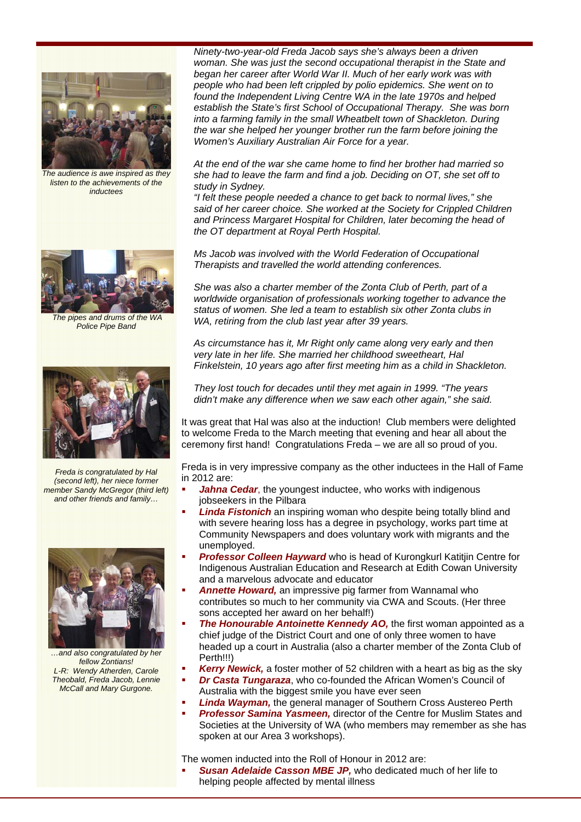

*The audience is awe inspired as they listen to the achievements of the inductees* 



 *The pipes and drums of the WA Police Pipe Band* 



*Freda is congratulated by Hal (second left), her niece former member Sandy McGregor (third left) and other friends and family…* 



*…and also congratulated by her fellow Zontians! L-R: Wendy Atherden, Carole Theobald, Freda Jacob, Lennie McCall and Mary Gurgone.* 

*Ninety-two-year-old Freda Jacob says she's always been a driven woman. She was just the second occupational therapist in the State and began her career after World War II. Much of her early work was with people who had been left crippled by polio epidemics. She went on to found the Independent Living Centre WA in the late 1970s and helped establish the State's first School of Occupational Therapy. She was born into a farming family in the small Wheatbelt town of Shackleton. During the war she helped her younger brother run the farm before joining the Women's Auxiliary Australian Air Force for a year.* 

*At the end of the war she came home to find her brother had married so she had to leave the farm and find a job. Deciding on OT, she set off to study in Sydney.* 

*"I felt these people needed a chance to get back to normal lives," she said of her career choice. She worked at the Society for Crippled Children and Princess Margaret Hospital for Children, later becoming the head of the OT department at Royal Perth Hospital.* 

*Ms Jacob was involved with the World Federation of Occupational Therapists and travelled the world attending conferences.* 

*She was also a charter member of the Zonta Club of Perth, part of a worldwide organisation of professionals working together to advance the status of women. She led a team to establish six other Zonta clubs in WA, retiring from the club last year after 39 years.* 

*As circumstance has it, Mr Right only came along very early and then very late in her life. She married her childhood sweetheart, Hal Finkelstein, 10 years ago after first meeting him as a child in Shackleton.* 

*They lost touch for decades until they met again in 1999. "The years didn't make any difference when we saw each other again," she said.*

It was great that Hal was also at the induction! Club members were delighted to welcome Freda to the March meeting that evening and hear all about the ceremony first hand! Congratulations Freda – we are all so proud of you.

Freda is in very impressive company as the other inductees in the Hall of Fame in 2012 are:

- **Jahna Cedar**, the youngest inductee, who works with indigenous jobseekers in the Pilbara
- *Linda Fistonich* an inspiring woman who despite being totally blind and with severe hearing loss has a degree in psychology, works part time at Community Newspapers and does voluntary work with migrants and the unemployed.
- **Professor Colleen Hayward** who is head of Kurongkurl Katitiin Centre for Indigenous Australian Education and Research at Edith Cowan University and a marvelous advocate and educator
- *Annette Howard,* an impressive pig farmer from Wannamal who contributes so much to her community via CWA and Scouts. (Her three sons accepted her award on her behalf!)
- **The Honourable Antoinette Kennedy AO**, the first woman appointed as a chief judge of the District Court and one of only three women to have headed up a court in Australia (also a charter member of the Zonta Club of Perth!!!)
- *Kerry Newick,* a foster mother of 52 children with a heart as big as the sky
- *Dr Casta Tungaraza*, who co-founded the African Women's Council of Australia with the biggest smile you have ever seen
- *Linda Wayman,* the general manager of Southern Cross Austereo Perth
- *Professor Samina Yasmeen,* director of the Centre for Muslim States and Societies at the University of WA (who members may remember as she has spoken at our Area 3 workshops).

The women inducted into the Roll of Honour in 2012 are:

 *Susan Adelaide Casson MBE JP,* who dedicated much of her life to helping people affected by mental illness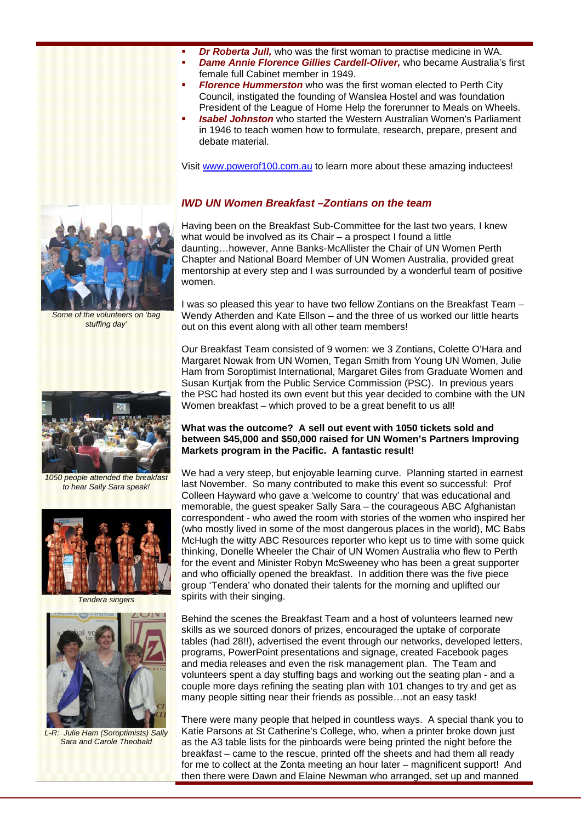- *Dr Roberta Jull,* who was the first woman to practise medicine in WA.
- *Dame Annie Florence Gillies Cardell-Oliver,* who became Australia's first female full Cabinet member in 1949.
- *Florence Hummerston* who was the first woman elected to Perth City Council, instigated the founding of Wanslea Hostel and was foundation President of the League of Home Help the forerunner to Meals on Wheels.
- *Isabel Johnston* who started the Western Australian Women's Parliament in 1946 to teach women how to formulate, research, prepare, present and debate material.

Visit www.powerof100.com.au to learn more about these amazing inductees!

#### *IWD UN Women Breakfast –Zontians on the team*

Having been on the Breakfast Sub-Committee for the last two years, I knew what would be involved as its Chair – a prospect I found a little daunting…however, Anne Banks-McAllister the Chair of UN Women Perth Chapter and National Board Member of UN Women Australia, provided great mentorship at every step and I was surrounded by a wonderful team of positive women.

I was so pleased this year to have two fellow Zontians on the Breakfast Team – Wendy Atherden and Kate Ellson – and the three of us worked our little hearts out on this event along with all other team members!

Our Breakfast Team consisted of 9 women: we 3 Zontians, Colette O'Hara and Margaret Nowak from UN Women, Tegan Smith from Young UN Women, Julie Ham from Soroptimist International, Margaret Giles from Graduate Women and Susan Kurtjak from the Public Service Commission (PSC). In previous years the PSC had hosted its own event but this year decided to combine with the UN Women breakfast – which proved to be a great benefit to us all!

#### **What was the outcome? A sell out event with 1050 tickets sold and between \$45,000 and \$50,000 raised for UN Women's Partners Improving Markets program in the Pacific. A fantastic result!**

We had a very steep, but enjoyable learning curve. Planning started in earnest last November. So many contributed to make this event so successful: Prof Colleen Hayward who gave a 'welcome to country' that was educational and memorable, the guest speaker Sally Sara – the courageous ABC Afghanistan correspondent - who awed the room with stories of the women who inspired her (who mostly lived in some of the most dangerous places in the world), MC Babs McHugh the witty ABC Resources reporter who kept us to time with some quick thinking, Donelle Wheeler the Chair of UN Women Australia who flew to Perth for the event and Minister Robyn McSweeney who has been a great supporter and who officially opened the breakfast. In addition there was the five piece group 'Tendera' who donated their talents for the morning and uplifted our spirits with their singing.

Behind the scenes the Breakfast Team and a host of volunteers learned new skills as we sourced donors of prizes, encouraged the uptake of corporate tables (had 28!!), advertised the event through our networks, developed letters, programs, PowerPoint presentations and signage, created Facebook pages and media releases and even the risk management plan. The Team and volunteers spent a day stuffing bags and working out the seating plan - and a couple more days refining the seating plan with 101 changes to try and get as many people sitting near their friends as possible…not an easy task!

There were many people that helped in countless ways. A special thank you to Katie Parsons at St Catherine's College, who, when a printer broke down just as the A3 table lists for the pinboards were being printed the night before the breakfast – came to the rescue, printed off the sheets and had them all ready for me to collect at the Zonta meeting an hour later – magnificent support! And then there were Dawn and Elaine Newman who arranged, set up and manned

*Some of the volunteers on 'bag stuffing day'* 

*1050 people attended the breakfast* 

*to hear Sally Sara speak!* 



*Tendera singers* 



*L-R: Julie Ham (Soroptimists) Sally Sara and Carole Theobald* 



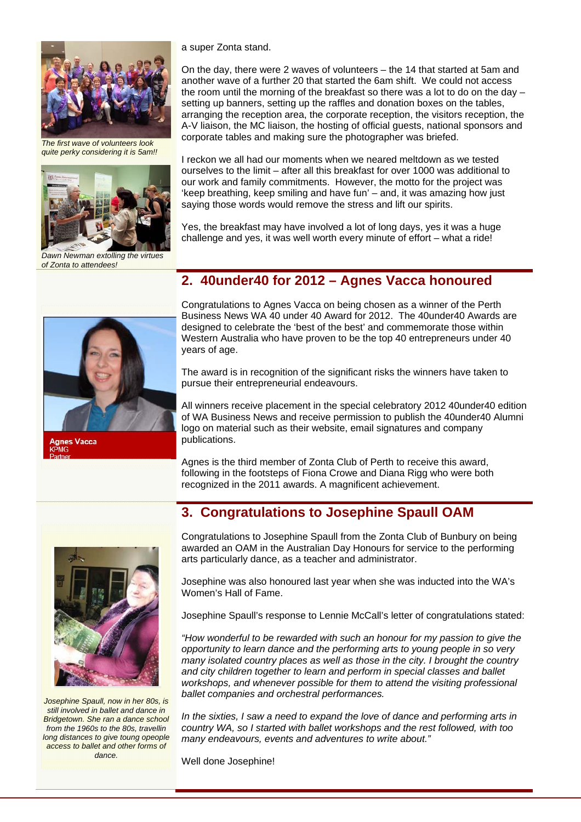

*The first wave of volunteers look quite perky considering it is 5am!!* 



*Dawn Newman extolling the virtues of Zonta to attendees!* 



anes Vacca

a super Zonta stand.

On the day, there were 2 waves of volunteers – the 14 that started at 5am and another wave of a further 20 that started the 6am shift. We could not access the room until the morning of the breakfast so there was a lot to do on the day – setting up banners, setting up the raffles and donation boxes on the tables, arranging the reception area, the corporate reception, the visitors reception, the A-V liaison, the MC liaison, the hosting of official guests, national sponsors and corporate tables and making sure the photographer was briefed.

I reckon we all had our moments when we neared meltdown as we tested ourselves to the limit – after all this breakfast for over 1000 was additional to our work and family commitments. However, the motto for the project was 'keep breathing, keep smiling and have fun' – and, it was amazing how just saying those words would remove the stress and lift our spirits.

Yes, the breakfast may have involved a lot of long days, yes it was a huge challenge and yes, it was well worth every minute of effort – what a ride!

#### **2. 40under40 for 2012 – Agnes Vacca honoured**

Congratulations to Agnes Vacca on being chosen as a winner of the Perth Business News WA 40 under 40 Award for 2012. The 40under40 Awards are designed to celebrate the 'best of the best' and commemorate those within Western Australia who have proven to be the top 40 entrepreneurs under 40 years of age.

The award is in recognition of the significant risks the winners have taken to pursue their entrepreneurial endeavours.

All winners receive placement in the special celebratory 2012 40under40 edition of WA Business News and receive permission to publish the 40under40 Alumni logo on material such as their website, email signatures and company publications.

Agnes is the third member of Zonta Club of Perth to receive this award, following in the footsteps of Fiona Crowe and Diana Rigg who were both recognized in the 2011 awards. A magnificent achievement.

#### **3. Congratulations to Josephine Spaull OAM**



*Josephine Spaull, now in her 80s, is still involved in ballet and dance in Bridgetown. She ran a dance school from the 1960s to the 80s, travellin long distances to give toung opeople access to ballet and other forms of dance.* 

Congratulations to Josephine Spaull from the Zonta Club of Bunbury on being awarded an OAM in the Australian Day Honours for service to the performing arts particularly dance, as a teacher and administrator.

Josephine was also honoured last year when she was inducted into the WA's Women's Hall of Fame.

Josephine Spaull's response to Lennie McCall's letter of congratulations stated:

*"How wonderful to be rewarded with such an honour for my passion to give the opportunity to learn dance and the performing arts to young people in so very many isolated country places as well as those in the city. I brought the country and city children together to learn and perform in special classes and ballet workshops, and whenever possible for them to attend the visiting professional ballet companies and orchestral performances.* 

*In the sixties, I saw a need to expand the love of dance and performing arts in country WA, so I started with ballet workshops and the rest followed, with too many endeavours, events and adventures to write about."* 

Well done Josephine!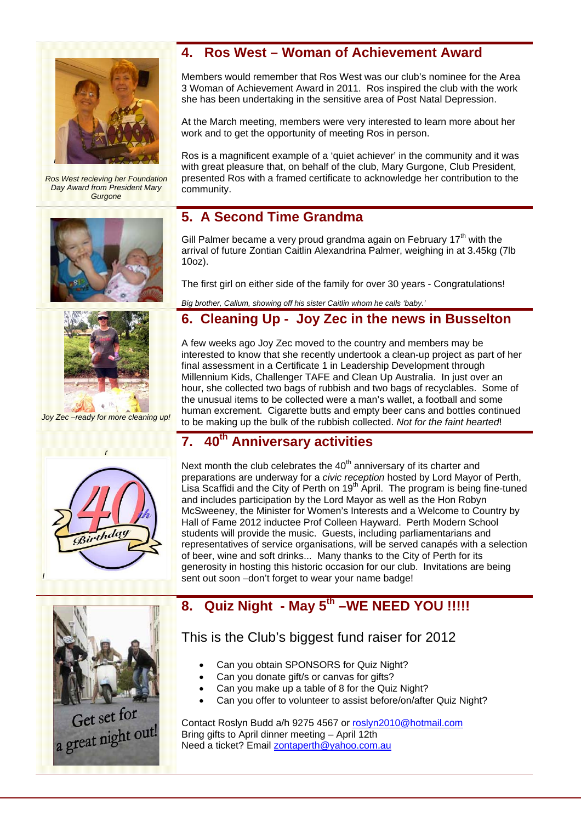

*Ros West recieving her Foundation Day Award from President Mary Gurgone* 





*Joy Zec –ready for more cleaning up!* 

## **4. Ros West – Woman of Achievement Award**

Members would remember that Ros West was our club's nominee for the Area 3 Woman of Achievement Award in 2011. Ros inspired the club with the work she has been undertaking in the sensitive area of Post Natal Depression.

At the March meeting, members were very interested to learn more about her work and to get the opportunity of meeting Ros in person.

Ros is a magnificent example of a 'quiet achiever' in the community and it was with great pleasure that, on behalf of the club, Mary Gurgone, Club President, presented Ros with a framed certificate to acknowledge her contribution to the community.

## **5. A Second Time Grandma**

Gill Palmer became a very proud grandma again on February  $17<sup>th</sup>$  with the arrival of future Zontian Caitlin Alexandrina Palmer, weighing in at 3.45kg (7lb 10oz).

The first girl on either side of the family for over 30 years - Congratulations!

*Big brother, Callum, showing off his sister Caitlin whom he calls 'baby.'* 

# **6. Cleaning Up - Joy Zec in the news in Busselton**

A few weeks ago Joy Zec moved to the country and members may be interested to know that she recently undertook a clean-up project as part of her final assessment in a Certificate 1 in Leadership Development through Millennium Kids, Challenger TAFE and Clean Up Australia. In just over an hour, she collected two bags of rubbish and two bags of recyclables. Some of the unusual items to be collected were a man's wallet, a football and some human excrement. Cigarette butts and empty beer cans and bottles continued to be making up the bulk of the rubbish collected. *Not for the faint hearted*!

## **7. 40th Anniversary activities**



Next month the club celebrates the  $40<sup>th</sup>$  anniversary of its charter and preparations are underway for a *civic reception* hosted by Lord Mayor of Perth, Lisa Scaffidi and the City of Perth on 19<sup>th</sup> April. The program is being fine-tuned and includes participation by the Lord Mayor as well as the Hon Robyn McSweeney, the Minister for Women's Interests and a Welcome to Country by Hall of Fame 2012 inductee Prof Colleen Hayward. Perth Modern School students will provide the music. Guests, including parliamentarians and representatives of service organisations, will be served canapés with a selection of beer, wine and soft drinks... Many thanks to the City of Perth for its generosity in hosting this historic occasion for our club. Invitations are being sent out soon –don't forget to wear your name badge!



Get set for Get set 101<br>a great night out!

# **8. Quiz Night - May 5th –WE NEED YOU !!!!!**

# This is the Club's biggest fund raiser for 2012

- Can you obtain SPONSORS for Quiz Night?
- Can you donate gift/s or canvas for gifts?
- Can you make up a table of 8 for the Quiz Night?
- Can you offer to volunteer to assist before/on/after Quiz Night?

Contact Roslyn Budd a/h 9275 4567 or roslyn2010@hotmail.com Bring gifts to April dinner meeting – April 12th Need a ticket? Email zontaperth@yahoo.com.au